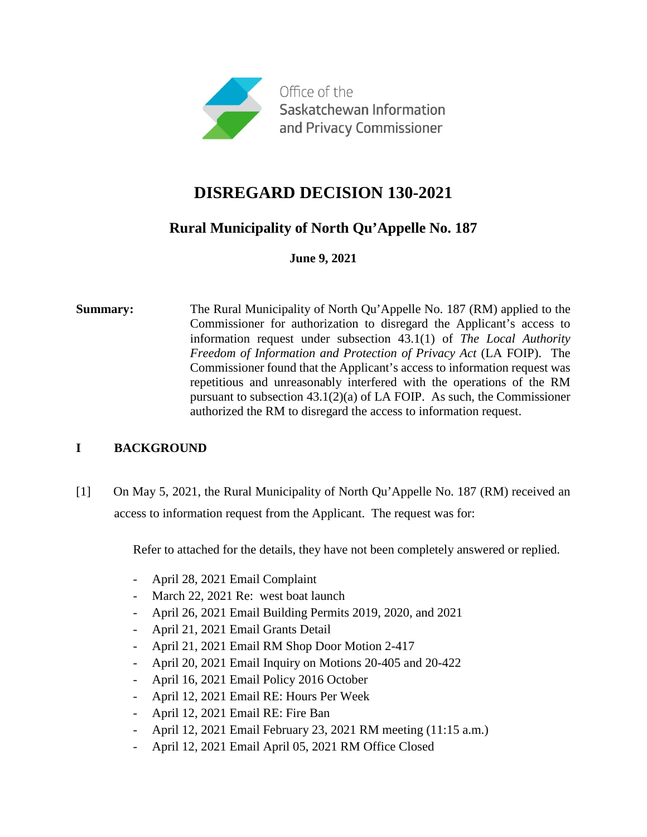

# **Rural Municipality of North Qu'Appelle No. 187**

**June 9, 2021**

**Summary:** The Rural Municipality of North Qu'Appelle No. 187 (RM) applied to the Commissioner for authorization to disregard the Applicant's access to information request under subsection 43.1(1) of *The Local Authority Freedom of Information and Protection of Privacy Act* (LA FOIP). The Commissioner found that the Applicant's access to information request was repetitious and unreasonably interfered with the operations of the RM pursuant to subsection 43.1(2)(a) of LA FOIP. As such, the Commissioner authorized the RM to disregard the access to information request.

## **I BACKGROUND**

[1] On May 5, 2021, the Rural Municipality of North Qu'Appelle No. 187 (RM) received an access to information request from the Applicant. The request was for:

Refer to attached for the details, they have not been completely answered or replied.

- April 28, 2021 Email Complaint
- March 22, 2021 Re: west boat launch
- April 26, 2021 Email Building Permits 2019, 2020, and 2021
- April 21, 2021 Email Grants Detail
- April 21, 2021 Email RM Shop Door Motion 2-417
- April 20, 2021 Email Inquiry on Motions 20-405 and 20-422
- April 16, 2021 Email Policy 2016 October
- April 12, 2021 Email RE: Hours Per Week
- April 12, 2021 Email RE: Fire Ban
- April 12, 2021 Email February 23, 2021 RM meeting (11:15 a.m.)
- April 12, 2021 Email April 05, 2021 RM Office Closed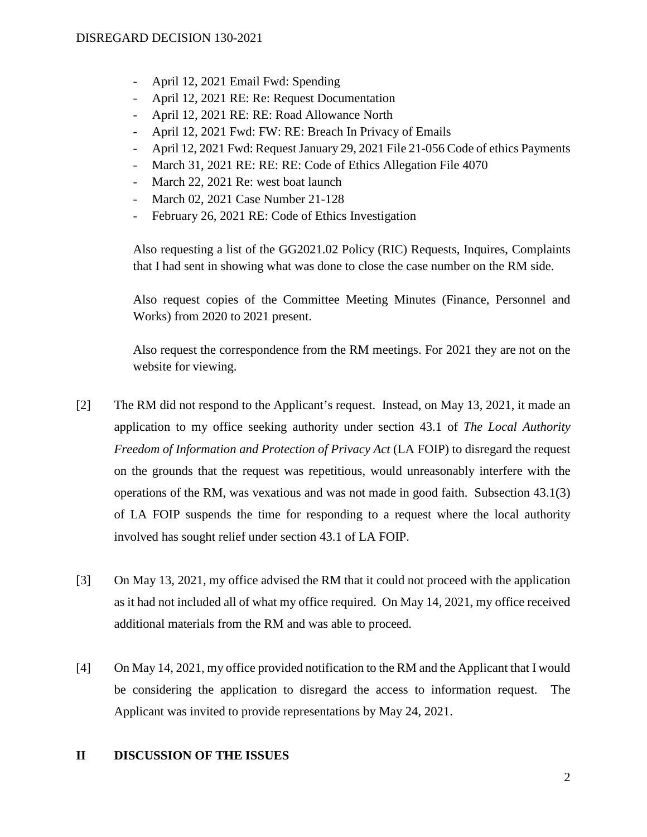- April 12, 2021 Email Fwd: Spending
- April 12, 2021 RE: Re: Request Documentation
- April 12, 2021 RE: RE: Road Allowance North
- April 12, 2021 Fwd: FW: RE: Breach In Privacy of Emails
- April 12, 2021 Fwd: Request January 29, 2021 File 21-056 Code of ethics Payments
- March 31, 2021 RE: RE: RE: Code of Ethics Allegation File 4070
- March 22, 2021 Re: west boat launch
- March 02, 2021 Case Number 21-128
- February 26, 2021 RE: Code of Ethics Investigation

Also requesting a list of the GG2021.02 Policy (RIC) Requests, Inquires, Complaints that I had sent in showing what was done to close the case number on the RM side.

Also request copies of the Committee Meeting Minutes (Finance, Personnel and Works) from 2020 to 2021 present.

Also request the correspondence from the RM meetings. For 2021 they are not on the website for viewing.

- [2] The RM did not respond to the Applicant's request. Instead, on May 13, 2021, it made an application to my office seeking authority under section 43.1 of *The Local Authority Freedom of Information and Protection of Privacy Act* (LA FOIP) to disregard the request on the grounds that the request was repetitious, would unreasonably interfere with the operations of the RM, was vexatious and was not made in good faith. Subsection 43.1(3) of LA FOIP suspends the time for responding to a request where the local authority involved has sought relief under section 43.1 of LA FOIP.
- [3] On May 13, 2021, my office advised the RM that it could not proceed with the application as it had not included all of what my office required. On May 14, 2021, my office received additional materials from the RM and was able to proceed.
- [4] On May 14, 2021, my office provided notification to the RM and the Applicant that I would be considering the application to disregard the access to information request. The Applicant was invited to provide representations by May 24, 2021.

### **II DISCUSSION OF THE ISSUES**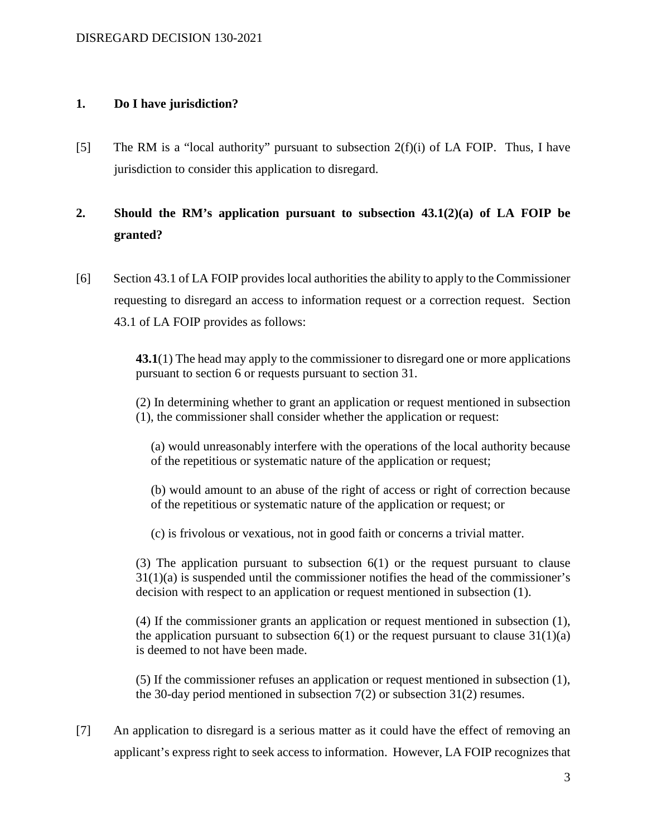#### **1. Do I have jurisdiction?**

[5] The RM is a "local authority" pursuant to subsection  $2(f)(i)$  of LA FOIP. Thus, I have jurisdiction to consider this application to disregard.

## **2. Should the RM's application pursuant to subsection 43.1(2)(a) of LA FOIP be granted?**

[6] Section 43.1 of LA FOIP provides local authorities the ability to apply to the Commissioner requesting to disregard an access to information request or a correction request. Section 43.1 of LA FOIP provides as follows:

> **43.1**(1) The head may apply to the commissioner to disregard one or more applications pursuant to section 6 or requests pursuant to section 31.

> (2) In determining whether to grant an application or request mentioned in subsection (1), the commissioner shall consider whether the application or request:

(a) would unreasonably interfere with the operations of the local authority because of the repetitious or systematic nature of the application or request;

(b) would amount to an abuse of the right of access or right of correction because of the repetitious or systematic nature of the application or request; or

(c) is frivolous or vexatious, not in good faith or concerns a trivial matter.

(3) The application pursuant to subsection 6(1) or the request pursuant to clause 31(1)(a) is suspended until the commissioner notifies the head of the commissioner's decision with respect to an application or request mentioned in subsection (1).

(4) If the commissioner grants an application or request mentioned in subsection (1), the application pursuant to subsection  $6(1)$  or the request pursuant to clause  $31(1)(a)$ is deemed to not have been made.

(5) If the commissioner refuses an application or request mentioned in subsection (1), the 30-day period mentioned in subsection 7(2) or subsection 31(2) resumes.

[7] An application to disregard is a serious matter as it could have the effect of removing an applicant's express right to seek access to information. However, LA FOIP recognizes that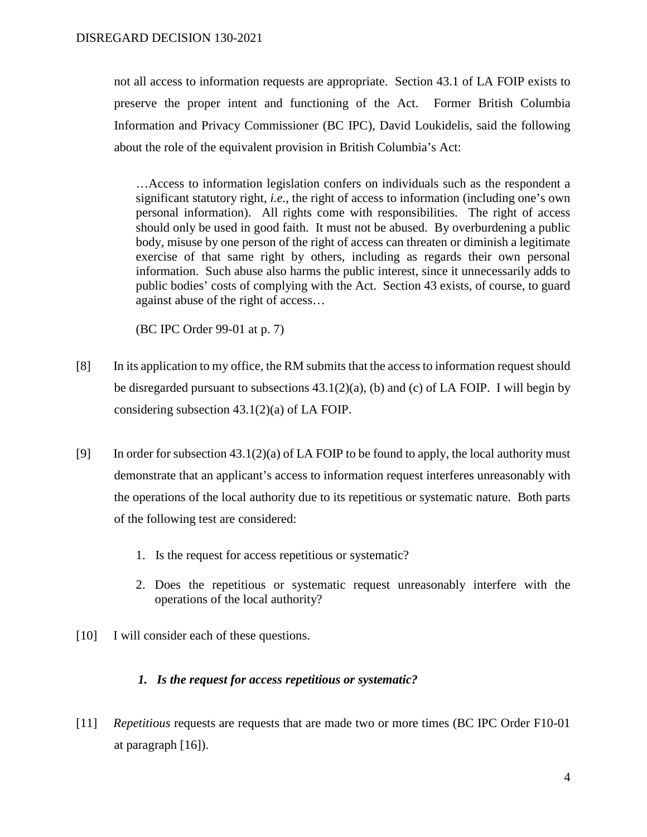not all access to information requests are appropriate. Section 43.1 of LA FOIP exists to preserve the proper intent and functioning of the Act. Former British Columbia Information and Privacy Commissioner (BC IPC), David Loukidelis, said the following about the role of the equivalent provision in British Columbia's Act:

…Access to information legislation confers on individuals such as the respondent a significant statutory right, *i.e.*, the right of access to information (including one's own personal information). All rights come with responsibilities. The right of access should only be used in good faith. It must not be abused. By overburdening a public body, misuse by one person of the right of access can threaten or diminish a legitimate exercise of that same right by others, including as regards their own personal information. Such abuse also harms the public interest, since it unnecessarily adds to public bodies' costs of complying with the Act. Section 43 exists, of course, to guard against abuse of the right of access…

(BC IPC Order 99-01 at p. 7)

- [8] In its application to my office, the RM submits that the access to information request should be disregarded pursuant to subsections 43.1(2)(a), (b) and (c) of LA FOIP. I will begin by considering subsection 43.1(2)(a) of LA FOIP.
- [9] In order for subsection  $43.1(2)(a)$  of LA FOIP to be found to apply, the local authority must demonstrate that an applicant's access to information request interferes unreasonably with the operations of the local authority due to its repetitious or systematic nature. Both parts of the following test are considered:
	- 1. Is the request for access repetitious or systematic?
	- 2. Does the repetitious or systematic request unreasonably interfere with the operations of the local authority?
- [10] I will consider each of these questions.

### *1. Is the request for access repetitious or systematic?*

[11] *Repetitious* requests are requests that are made two or more times (BC IPC Order F10-01 at paragraph [16]).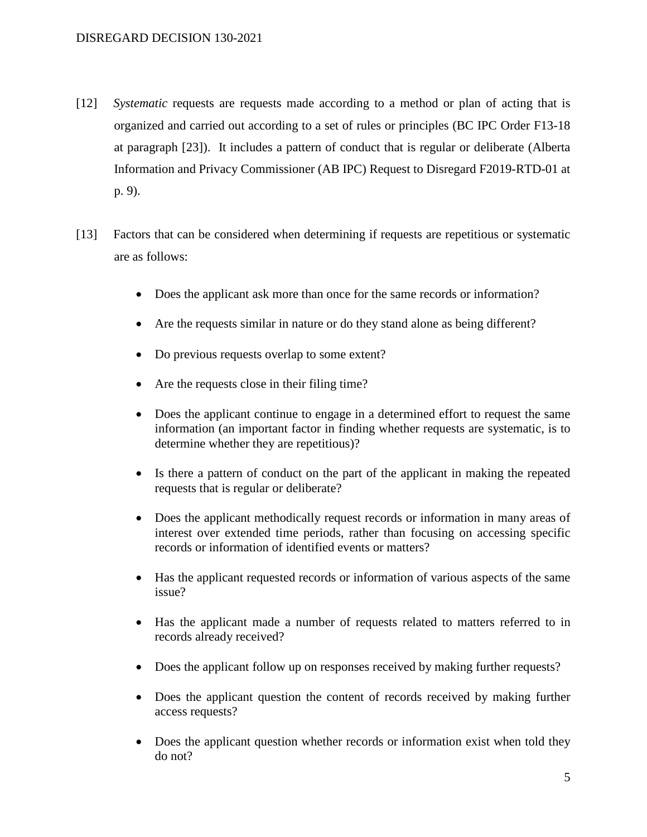- [12] *Systematic* requests are requests made according to a method or plan of acting that is organized and carried out according to a set of rules or principles (BC IPC Order F13-18 at paragraph [23]). It includes a pattern of conduct that is regular or deliberate (Alberta Information and Privacy Commissioner (AB IPC) Request to Disregard F2019-RTD-01 at p. 9).
- [13] Factors that can be considered when determining if requests are repetitious or systematic are as follows:
	- Does the applicant ask more than once for the same records or information?
	- Are the requests similar in nature or do they stand alone as being different?
	- Do previous requests overlap to some extent?
	- Are the requests close in their filing time?
	- Does the applicant continue to engage in a determined effort to request the same information (an important factor in finding whether requests are systematic, is to determine whether they are repetitious)?
	- Is there a pattern of conduct on the part of the applicant in making the repeated requests that is regular or deliberate?
	- Does the applicant methodically request records or information in many areas of interest over extended time periods, rather than focusing on accessing specific records or information of identified events or matters?
	- Has the applicant requested records or information of various aspects of the same issue?
	- Has the applicant made a number of requests related to matters referred to in records already received?
	- Does the applicant follow up on responses received by making further requests?
	- Does the applicant question the content of records received by making further access requests?
	- Does the applicant question whether records or information exist when told they do not?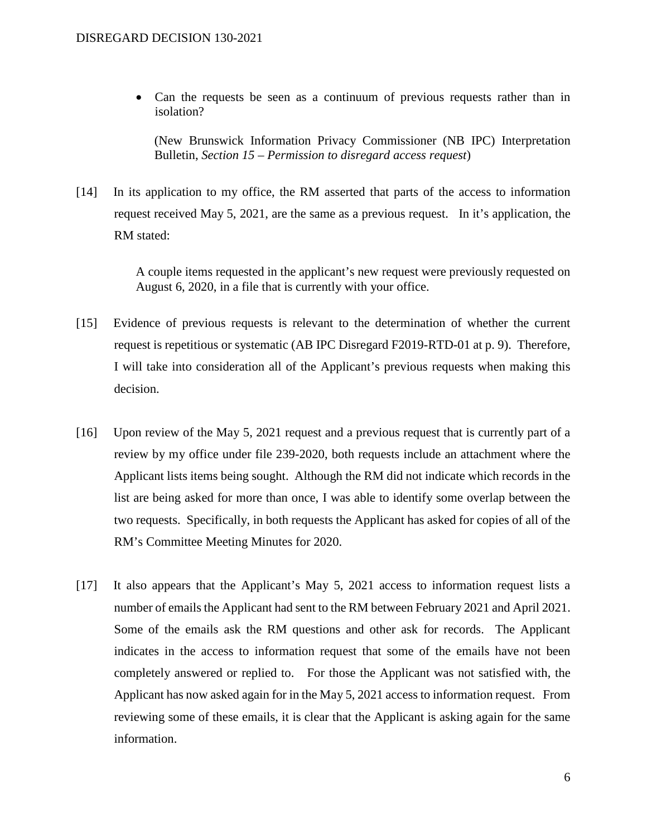• Can the requests be seen as a continuum of previous requests rather than in isolation?

(New Brunswick Information Privacy Commissioner (NB IPC) Interpretation Bulletin, *Section 15 – Permission to disregard access request*)

[14] In its application to my office, the RM asserted that parts of the access to information request received May 5, 2021, are the same as a previous request. In it's application, the RM stated:

> A couple items requested in the applicant's new request were previously requested on August 6, 2020, in a file that is currently with your office.

- [15] Evidence of previous requests is relevant to the determination of whether the current request is repetitious or systematic (AB IPC Disregard F2019-RTD-01 at p. 9). Therefore, I will take into consideration all of the Applicant's previous requests when making this decision.
- [16] Upon review of the May 5, 2021 request and a previous request that is currently part of a review by my office under file 239-2020, both requests include an attachment where the Applicant lists items being sought. Although the RM did not indicate which records in the list are being asked for more than once, I was able to identify some overlap between the two requests. Specifically, in both requests the Applicant has asked for copies of all of the RM's Committee Meeting Minutes for 2020.
- [17] It also appears that the Applicant's May 5, 2021 access to information request lists a number of emails the Applicant had sent to the RM between February 2021 and April 2021. Some of the emails ask the RM questions and other ask for records. The Applicant indicates in the access to information request that some of the emails have not been completely answered or replied to. For those the Applicant was not satisfied with, the Applicant has now asked again for in the May 5, 2021 access to information request. From reviewing some of these emails, it is clear that the Applicant is asking again for the same information.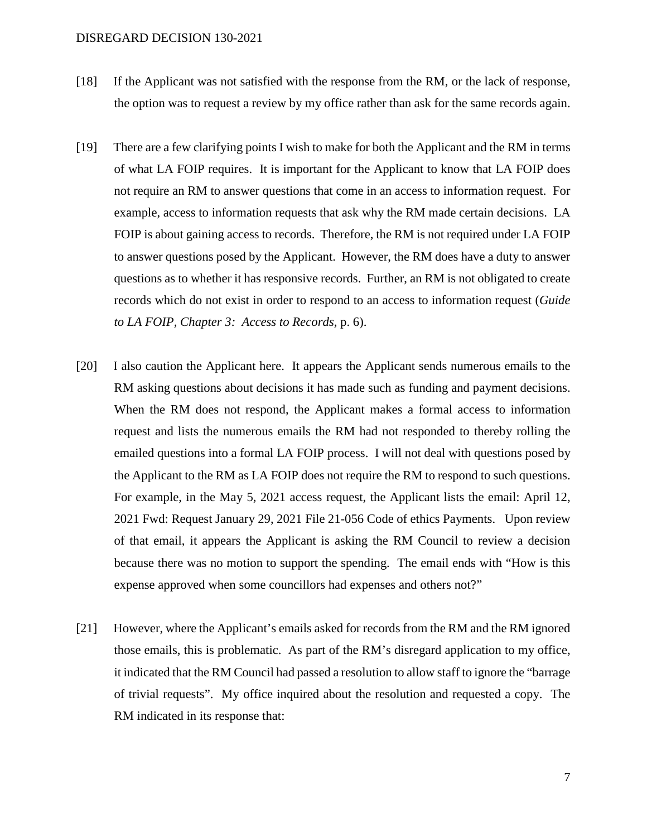- [18] If the Applicant was not satisfied with the response from the RM, or the lack of response, the option was to request a review by my office rather than ask for the same records again.
- [19] There are a few clarifying points I wish to make for both the Applicant and the RM in terms of what LA FOIP requires. It is important for the Applicant to know that LA FOIP does not require an RM to answer questions that come in an access to information request. For example, access to information requests that ask why the RM made certain decisions. LA FOIP is about gaining access to records. Therefore, the RM is not required under LA FOIP to answer questions posed by the Applicant. However, the RM does have a duty to answer questions as to whether it has responsive records. Further, an RM is not obligated to create records which do not exist in order to respond to an access to information request (*Guide to LA FOIP, Chapter 3: Access to Records,* p. 6).
- [20] I also caution the Applicant here. It appears the Applicant sends numerous emails to the RM asking questions about decisions it has made such as funding and payment decisions. When the RM does not respond, the Applicant makes a formal access to information request and lists the numerous emails the RM had not responded to thereby rolling the emailed questions into a formal LA FOIP process. I will not deal with questions posed by the Applicant to the RM as LA FOIP does not require the RM to respond to such questions. For example, in the May 5, 2021 access request, the Applicant lists the email: April 12, 2021 Fwd: Request January 29, 2021 File 21-056 Code of ethics Payments. Upon review of that email, it appears the Applicant is asking the RM Council to review a decision because there was no motion to support the spending. The email ends with "How is this expense approved when some councillors had expenses and others not?"
- [21] However, where the Applicant's emails asked for records from the RM and the RM ignored those emails, this is problematic. As part of the RM's disregard application to my office, it indicated that the RM Council had passed a resolution to allow staff to ignore the "barrage of trivial requests". My office inquired about the resolution and requested a copy. The RM indicated in its response that: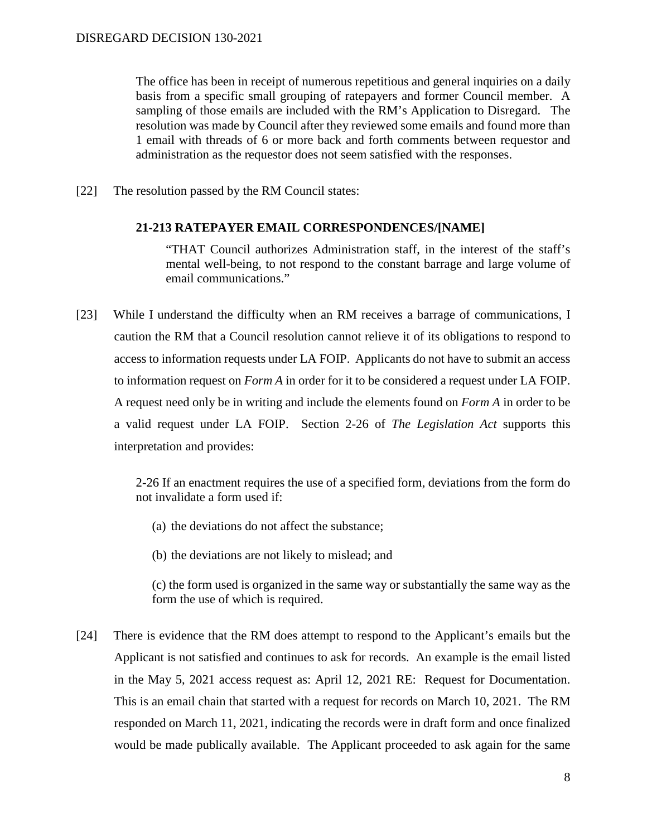The office has been in receipt of numerous repetitious and general inquiries on a daily basis from a specific small grouping of ratepayers and former Council member. A sampling of those emails are included with the RM's Application to Disregard. The resolution was made by Council after they reviewed some emails and found more than 1 email with threads of 6 or more back and forth comments between requestor and administration as the requestor does not seem satisfied with the responses.

[22] The resolution passed by the RM Council states:

#### **21-213 RATEPAYER EMAIL CORRESPONDENCES/[NAME]**

"THAT Council authorizes Administration staff, in the interest of the staff's mental well-being, to not respond to the constant barrage and large volume of email communications."

[23] While I understand the difficulty when an RM receives a barrage of communications, I caution the RM that a Council resolution cannot relieve it of its obligations to respond to access to information requests under LA FOIP. Applicants do not have to submit an access to information request on *Form A* in order for it to be considered a request under LA FOIP. A request need only be in writing and include the elements found on *Form A* in order to be a valid request under LA FOIP. Section 2-26 of *The Legislation Act* supports this interpretation and provides:

> 2-26 If an enactment requires the use of a specified form, deviations from the form do not invalidate a form used if:

- (a) the deviations do not affect the substance;
- (b) the deviations are not likely to mislead; and

(c) the form used is organized in the same way or substantially the same way as the form the use of which is required.

[24] There is evidence that the RM does attempt to respond to the Applicant's emails but the Applicant is not satisfied and continues to ask for records. An example is the email listed in the May 5, 2021 access request as: April 12, 2021 RE: Request for Documentation. This is an email chain that started with a request for records on March 10, 2021. The RM responded on March 11, 2021, indicating the records were in draft form and once finalized would be made publically available. The Applicant proceeded to ask again for the same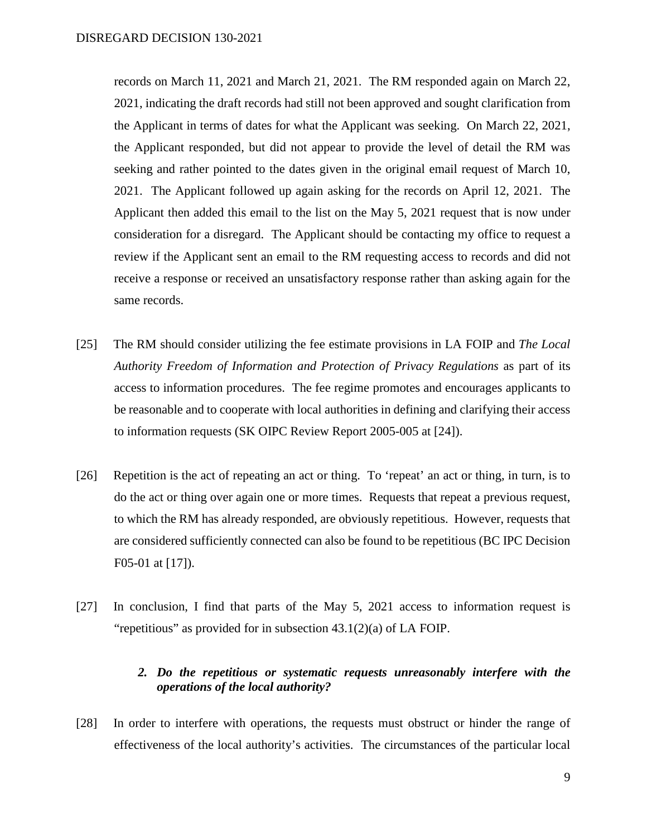records on March 11, 2021 and March 21, 2021. The RM responded again on March 22, 2021, indicating the draft records had still not been approved and sought clarification from the Applicant in terms of dates for what the Applicant was seeking. On March 22, 2021, the Applicant responded, but did not appear to provide the level of detail the RM was seeking and rather pointed to the dates given in the original email request of March 10, 2021. The Applicant followed up again asking for the records on April 12, 2021. The Applicant then added this email to the list on the May 5, 2021 request that is now under consideration for a disregard. The Applicant should be contacting my office to request a review if the Applicant sent an email to the RM requesting access to records and did not receive a response or received an unsatisfactory response rather than asking again for the same records.

- [25] The RM should consider utilizing the fee estimate provisions in LA FOIP and *The Local Authority Freedom of Information and Protection of Privacy Regulations* as part of its access to information procedures. The fee regime promotes and encourages applicants to be reasonable and to cooperate with local authorities in defining and clarifying their access to information requests (SK OIPC Review Report 2005-005 at [24]).
- [26] Repetition is the act of repeating an act or thing. To 'repeat' an act or thing, in turn, is to do the act or thing over again one or more times. Requests that repeat a previous request, to which the RM has already responded, are obviously repetitious. However, requests that are considered sufficiently connected can also be found to be repetitious (BC IPC Decision F05-01 at [17]).
- [27] In conclusion, I find that parts of the May 5, 2021 access to information request is "repetitious" as provided for in subsection 43.1(2)(a) of LA FOIP.

### *2. Do the repetitious or systematic requests unreasonably interfere with the operations of the local authority?*

[28] In order to interfere with operations, the requests must obstruct or hinder the range of effectiveness of the local authority's activities. The circumstances of the particular local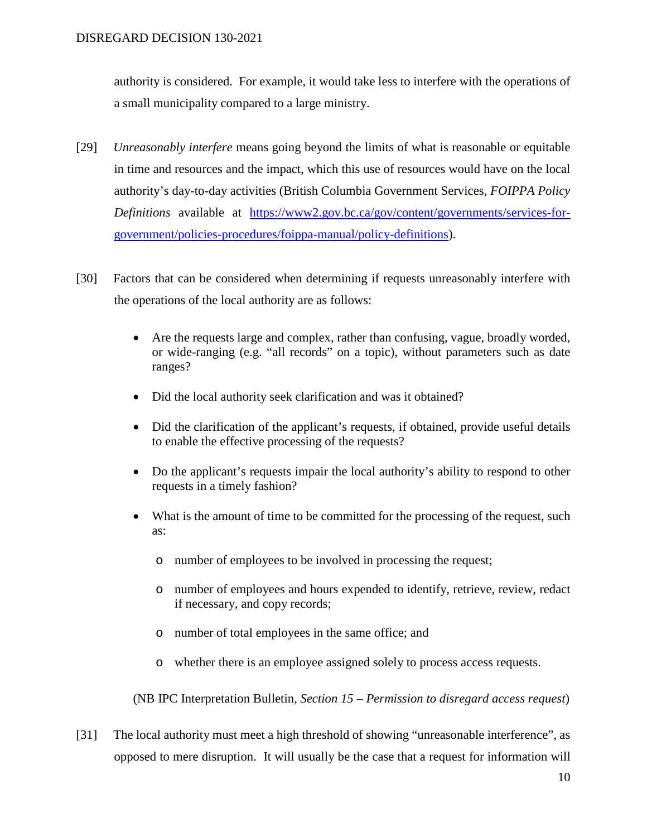authority is considered. For example, it would take less to interfere with the operations of a small municipality compared to a large ministry.

- [29] *Unreasonably interfere* means going beyond the limits of what is reasonable or equitable in time and resources and the impact, which this use of resources would have on the local authority's day-to-day activities (British Columbia Government Services, *FOIPPA Policy Definitions* available at [https://www2.gov.bc.ca/gov/content/governments/services-for](https://www2.gov.bc.ca/gov/content/governments/services-for-government/policies-procedures/foippa-manual/policy-definitions)[government/policies-procedures/foippa-manual/policy-definitions\)](https://www2.gov.bc.ca/gov/content/governments/services-for-government/policies-procedures/foippa-manual/policy-definitions).
- [30] Factors that can be considered when determining if requests unreasonably interfere with the operations of the local authority are as follows:
	- Are the requests large and complex, rather than confusing, vague, broadly worded, or wide-ranging (e.g. "all records" on a topic), without parameters such as date ranges?
	- Did the local authority seek clarification and was it obtained?
	- Did the clarification of the applicant's requests, if obtained, provide useful details to enable the effective processing of the requests?
	- Do the applicant's requests impair the local authority's ability to respond to other requests in a timely fashion?
	- What is the amount of time to be committed for the processing of the request, such as:
		- o number of employees to be involved in processing the request;
		- o number of employees and hours expended to identify, retrieve, review, redact if necessary, and copy records;
		- o number of total employees in the same office; and
		- o whether there is an employee assigned solely to process access requests.

(NB IPC Interpretation Bulletin, *Section 15 – Permission to disregard access request*)

[31] The local authority must meet a high threshold of showing "unreasonable interference", as opposed to mere disruption. It will usually be the case that a request for information will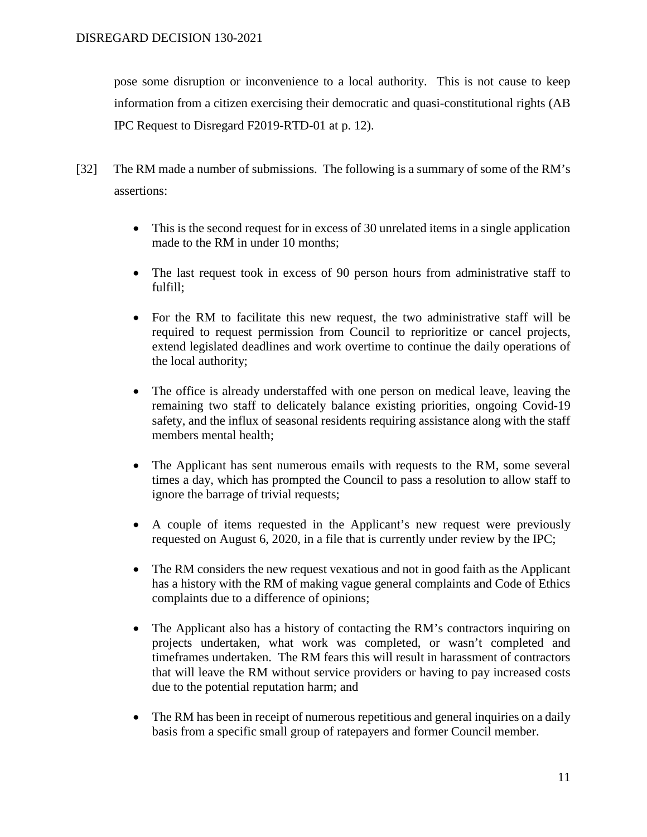pose some disruption or inconvenience to a local authority. This is not cause to keep information from a citizen exercising their democratic and quasi-constitutional rights (AB IPC Request to Disregard F2019-RTD-01 at p. 12).

- [32] The RM made a number of submissions. The following is a summary of some of the RM's assertions:
	- This is the second request for in excess of 30 unrelated items in a single application made to the RM in under 10 months;
	- The last request took in excess of 90 person hours from administrative staff to fulfill;
	- For the RM to facilitate this new request, the two administrative staff will be required to request permission from Council to reprioritize or cancel projects, extend legislated deadlines and work overtime to continue the daily operations of the local authority;
	- The office is already understaffed with one person on medical leave, leaving the remaining two staff to delicately balance existing priorities, ongoing Covid-19 safety, and the influx of seasonal residents requiring assistance along with the staff members mental health;
	- The Applicant has sent numerous emails with requests to the RM, some several times a day, which has prompted the Council to pass a resolution to allow staff to ignore the barrage of trivial requests;
	- A couple of items requested in the Applicant's new request were previously requested on August 6, 2020, in a file that is currently under review by the IPC;
	- The RM considers the new request vexatious and not in good faith as the Applicant has a history with the RM of making vague general complaints and Code of Ethics complaints due to a difference of opinions;
	- The Applicant also has a history of contacting the RM's contractors inquiring on projects undertaken, what work was completed, or wasn't completed and timeframes undertaken. The RM fears this will result in harassment of contractors that will leave the RM without service providers or having to pay increased costs due to the potential reputation harm; and
	- The RM has been in receipt of numerous repetitious and general inquiries on a daily basis from a specific small group of ratepayers and former Council member.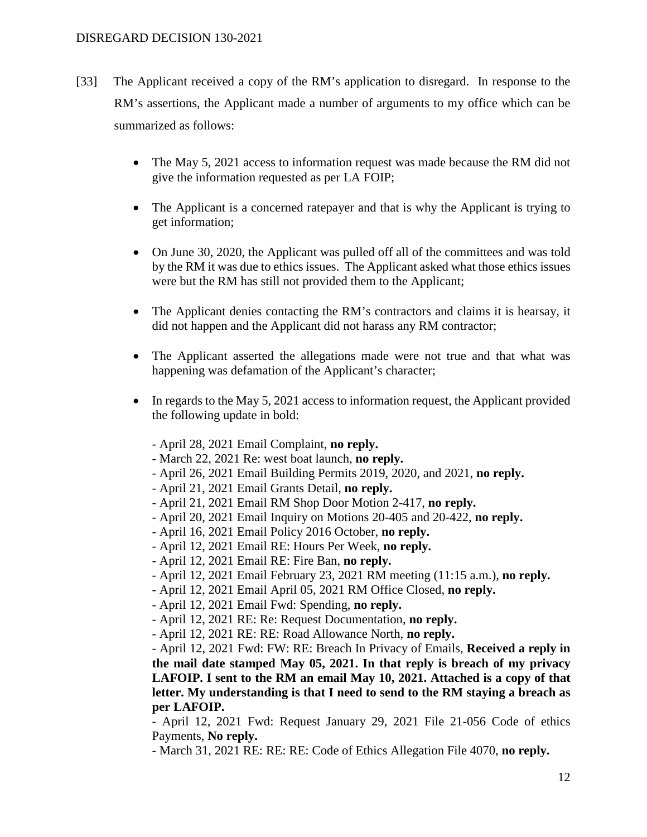- [33] The Applicant received a copy of the RM's application to disregard. In response to the RM's assertions, the Applicant made a number of arguments to my office which can be summarized as follows:
	- The May 5, 2021 access to information request was made because the RM did not give the information requested as per LA FOIP;
	- The Applicant is a concerned ratepayer and that is why the Applicant is trying to get information;
	- On June 30, 2020, the Applicant was pulled off all of the committees and was told by the RM it was due to ethics issues. The Applicant asked what those ethics issues were but the RM has still not provided them to the Applicant;
	- The Applicant denies contacting the RM's contractors and claims it is hearsay, it did not happen and the Applicant did not harass any RM contractor;
	- The Applicant asserted the allegations made were not true and that what was happening was defamation of the Applicant's character;
	- In regards to the May 5, 2021 access to information request, the Applicant provided the following update in bold:
		- April 28, 2021 Email Complaint, **no reply.**
		- March 22, 2021 Re: west boat launch, **no reply.**
		- April 26, 2021 Email Building Permits 2019, 2020, and 2021, **no reply.**
		- April 21, 2021 Email Grants Detail, **no reply.**
		- April 21, 2021 Email RM Shop Door Motion 2-417, **no reply.**
		- April 20, 2021 Email Inquiry on Motions 20-405 and 20-422, **no reply.**
		- April 16, 2021 Email Policy 2016 October, **no reply.**
		- April 12, 2021 Email RE: Hours Per Week, **no reply.**
		- April 12, 2021 Email RE: Fire Ban, **no reply.**
		- April 12, 2021 Email February 23, 2021 RM meeting (11:15 a.m.), **no reply.**
		- April 12, 2021 Email April 05, 2021 RM Office Closed, **no reply.**
		- April 12, 2021 Email Fwd: Spending, **no reply.**
		- April 12, 2021 RE: Re: Request Documentation, **no reply.**
		- April 12, 2021 RE: RE: Road Allowance North, **no reply.**

- April 12, 2021 Fwd: FW: RE: Breach In Privacy of Emails, **Received a reply in the mail date stamped May 05, 2021. In that reply is breach of my privacy LAFOIP. I sent to the RM an email May 10, 2021. Attached is a copy of that letter. My understanding is that I need to send to the RM staying a breach as per LAFOIP.**

- April 12, 2021 Fwd: Request January 29, 2021 File 21-056 Code of ethics Payments, **No reply.**

- March 31, 2021 RE: RE: RE: Code of Ethics Allegation File 4070, **no reply.**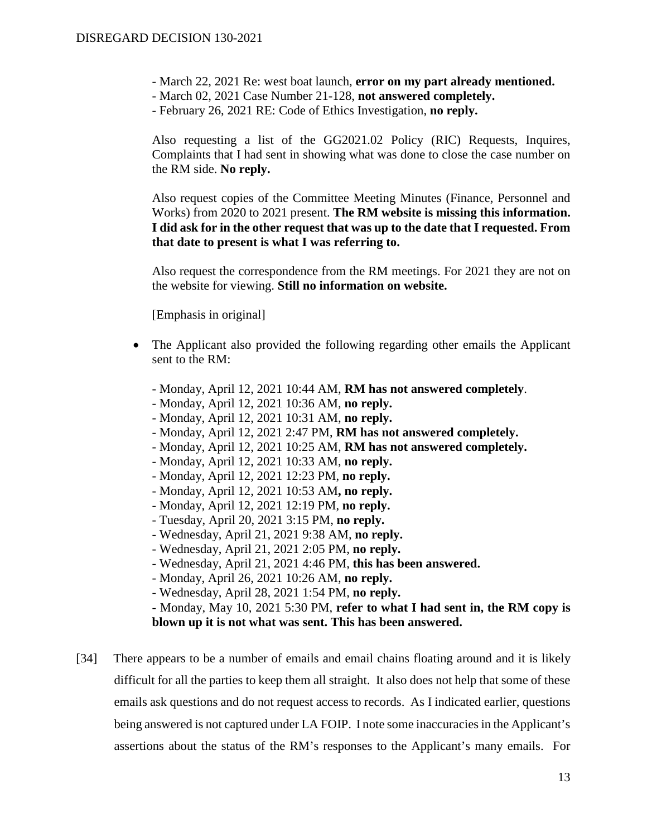- March 22, 2021 Re: west boat launch, **error on my part already mentioned.**
- March 02, 2021 Case Number 21-128, **not answered completely.**
- February 26, 2021 RE: Code of Ethics Investigation, **no reply.**

Also requesting a list of the GG2021.02 Policy (RIC) Requests, Inquires, Complaints that I had sent in showing what was done to close the case number on the RM side. **No reply.**

Also request copies of the Committee Meeting Minutes (Finance, Personnel and Works) from 2020 to 2021 present. **The RM website is missing this information. I did ask for in the other request that was up to the date that I requested. From that date to present is what I was referring to.**

Also request the correspondence from the RM meetings. For 2021 they are not on the website for viewing. **Still no information on website.**

[Emphasis in original]

- The Applicant also provided the following regarding other emails the Applicant sent to the RM:
	- Monday, April 12, 2021 10:44 AM, **RM has not answered completely**.
	- Monday, April 12, 2021 10:36 AM, **no reply.**
	- Monday, April 12, 2021 10:31 AM, **no reply.**
	- Monday, April 12, 2021 2:47 PM, **RM has not answered completely.**
	- Monday, April 12, 2021 10:25 AM, **RM has not answered completely.**
	- Monday, April 12, 2021 10:33 AM, **no reply.**
	- Monday, April 12, 2021 12:23 PM, **no reply.**
	- Monday, April 12, 2021 10:53 AM**, no reply.**
	- Monday, April 12, 2021 12:19 PM, **no reply.**
	- Tuesday, April 20, 2021 3:15 PM, **no reply.**
	- Wednesday, April 21, 2021 9:38 AM, **no reply.**
	- Wednesday, April 21, 2021 2:05 PM, **no reply.**
	- Wednesday, April 21, 2021 4:46 PM, **this has been answered.**
	- Monday, April 26, 2021 10:26 AM, **no reply.**
	- Wednesday, April 28, 2021 1:54 PM, **no reply.**

- Monday, May 10, 2021 5:30 PM, **refer to what I had sent in, the RM copy is blown up it is not what was sent. This has been answered.**

[34] There appears to be a number of emails and email chains floating around and it is likely difficult for all the parties to keep them all straight. It also does not help that some of these emails ask questions and do not request access to records. As I indicated earlier, questions being answered is not captured under LA FOIP. I note some inaccuracies in the Applicant's assertions about the status of the RM's responses to the Applicant's many emails. For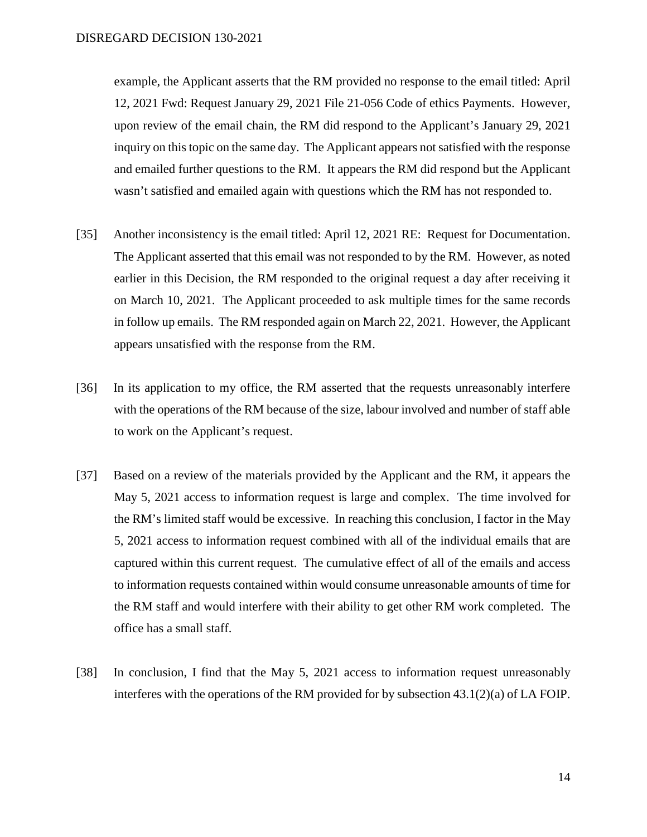example, the Applicant asserts that the RM provided no response to the email titled: April 12, 2021 Fwd: Request January 29, 2021 File 21-056 Code of ethics Payments. However, upon review of the email chain, the RM did respond to the Applicant's January 29, 2021 inquiry on this topic on the same day. The Applicant appears not satisfied with the response and emailed further questions to the RM. It appears the RM did respond but the Applicant wasn't satisfied and emailed again with questions which the RM has not responded to.

- [35] Another inconsistency is the email titled: April 12, 2021 RE: Request for Documentation. The Applicant asserted that this email was not responded to by the RM. However, as noted earlier in this Decision, the RM responded to the original request a day after receiving it on March 10, 2021. The Applicant proceeded to ask multiple times for the same records in follow up emails. The RM responded again on March 22, 2021. However, the Applicant appears unsatisfied with the response from the RM.
- [36] In its application to my office, the RM asserted that the requests unreasonably interfere with the operations of the RM because of the size, labour involved and number of staff able to work on the Applicant's request.
- [37] Based on a review of the materials provided by the Applicant and the RM, it appears the May 5, 2021 access to information request is large and complex. The time involved for the RM's limited staff would be excessive. In reaching this conclusion, I factor in the May 5, 2021 access to information request combined with all of the individual emails that are captured within this current request. The cumulative effect of all of the emails and access to information requests contained within would consume unreasonable amounts of time for the RM staff and would interfere with their ability to get other RM work completed. The office has a small staff.
- [38] In conclusion, I find that the May 5, 2021 access to information request unreasonably interferes with the operations of the RM provided for by subsection 43.1(2)(a) of LA FOIP.